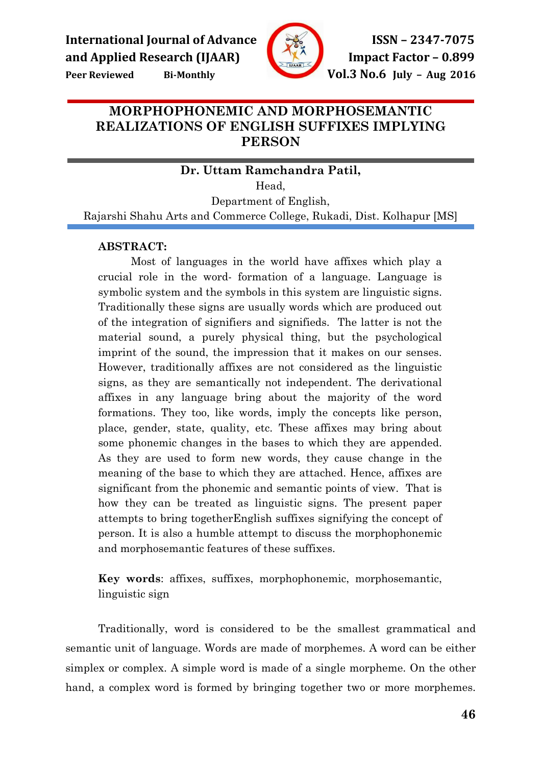

Peer Reviewed Bi-Monthly Vol.3 No.6 July – Aug 2016

# MORPHOPHONEMIC AND MORPHOSEMANTIC REALIZATIONS OF ENGLISH SUFFIXES IMPLYING PERSON

### ı Dr. Uttam Ramchandra Patil,

Head, Department of English,

Rajarshi Shahu Arts and Commerce College, Rukadi, Dist. Kolhapur [MS]

# ABSTRACT:

Most of languages in the world have affixes which play a crucial role in the word- formation of a language. Language is symbolic system and the symbols in this system are linguistic signs. Traditionally these signs are usually words which are produced out of the integration of signifiers and signifieds. The latter is not the material sound, a purely physical thing, but the psychological imprint of the sound, the impression that it makes on our senses. However, traditionally affixes are not considered as the linguistic signs, as they are semantically not independent. The derivational affixes in any language bring about the majority of the word formations. They too, like words, imply the concepts like person, place, gender, state, quality, etc. These affixes may bring about some phonemic changes in the bases to which they are appended. As they are used to form new words, they cause change in the meaning of the base to which they are attached. Hence, affixes are significant from the phonemic and semantic points of view. That is how they can be treated as linguistic signs. The present paper attempts to bring togetherEnglish suffixes signifying the concept of person. It is also a humble attempt to discuss the morphophonemic and morphosemantic features of these suffixes.

Key words: affixes, suffixes, morphophonemic, morphosemantic, linguistic sign

Traditionally, word is considered to be the smallest grammatical and semantic unit of language. Words are made of morphemes. A word can be either simplex or complex. A simple word is made of a single morpheme. On the other hand, a complex word is formed by bringing together two or more morphemes.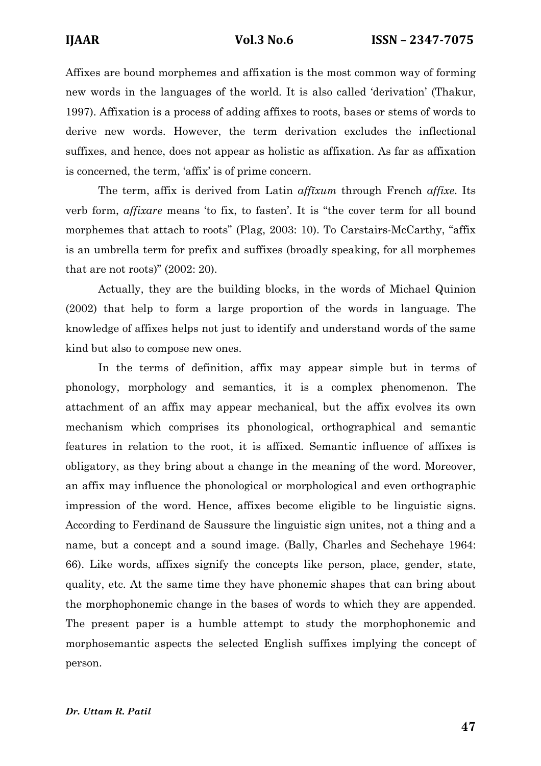Affixes are bound morphemes and affixation is the most common way of forming new words in the languages of the world. It is also called 'derivation' (Thakur, 1997). Affixation is a process of adding affixes to roots, bases or stems of words to derive new words. However, the term derivation excludes the inflectional suffixes, and hence, does not appear as holistic as affixation. As far as affixation is concerned, the term, 'affix' is of prime concern.

The term, affix is derived from Latin affīxum through French affixe. Its verb form, affixare means 'to fix, to fasten'. It is "the cover term for all bound morphemes that attach to roots" (Plag, 2003: 10). To Carstairs-McCarthy, "affix is an umbrella term for prefix and suffixes (broadly speaking, for all morphemes that are not roots)" (2002: 20).

Actually, they are the building blocks, in the words of Michael Quinion (2002) that help to form a large proportion of the words in language. The knowledge of affixes helps not just to identify and understand words of the same kind but also to compose new ones.

In the terms of definition, affix may appear simple but in terms of phonology, morphology and semantics, it is a complex phenomenon. The attachment of an affix may appear mechanical, but the affix evolves its own mechanism which comprises its phonological, orthographical and semantic features in relation to the root, it is affixed. Semantic influence of affixes is obligatory, as they bring about a change in the meaning of the word. Moreover, an affix may influence the phonological or morphological and even orthographic impression of the word. Hence, affixes become eligible to be linguistic signs. According to Ferdinand de Saussure the linguistic sign unites, not a thing and a name, but a concept and a sound image. (Bally, Charles and Sechehaye 1964: 66). Like words, affixes signify the concepts like person, place, gender, state, quality, etc. At the same time they have phonemic shapes that can bring about the morphophonemic change in the bases of words to which they are appended. The present paper is a humble attempt to study the morphophonemic and morphosemantic aspects the selected English suffixes implying the concept of person.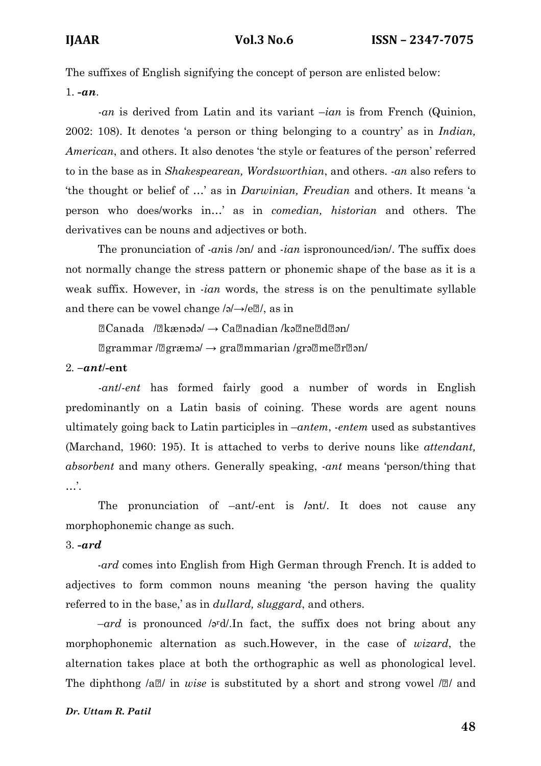The suffixes of English signifying the concept of person are enlisted below:

 $1. -an.$ 

-an is derived from Latin and its variant  $-ian$  is from French (Quinion, 2002: 108). It denotes 'a person or thing belonging to a country' as in Indian, American, and others. It also denotes 'the style or features of the person' referred to in the base as in Shakespearean, Wordsworthian, and others. -an also refers to 'the thought or belief of …' as in Darwinian, Freudian and others. It means 'a person who does/works in…' as in comedian, historian and others. The derivatives can be nouns and adjectives or both.

The pronunciation of -*anis /*ən/ and -*ian* ispronounced/iən/. The suffix does not normally change the stress pattern or phonemic shape of the base as it is a weak suffix. However, in *-ian* words, the stress is on the penultimate syllable and there can be vowel change  $\sqrt{a^2 + b^2}$ , as in

Canada / kænədə/  $\rightarrow$  Canadian /kənedən/

grammar / græmə/  $\rightarrow$  grammarian /grəmerən/

### $2. -ant/-ent$

-*antl-ent* has formed fairly good a number of words in English predominantly on a Latin basis of coining. These words are agent nouns ultimately going back to Latin participles in –antem, -entem used as substantives (Marchand, 1960: 195). It is attached to verbs to derive nouns like attendant, absorbent and many others. Generally speaking, -ant means 'person/thing that …'.

 The pronunciation of –ant/-ent is /ənt/. It does not cause any morphophonemic change as such.

### 3. -ard

 -ard comes into English from High German through French. It is added to adjectives to form common nouns meaning 'the person having the quality referred to in the base,' as in *dullard*, *sluggard*, and others.

 $-ard$  is pronounced / $a^{\text{rd}}$ . In fact, the suffix does not bring about any morphophonemic alternation as such.However, in the case of wizard, the alternation takes place at both the orthographic as well as phonological level. The diphthong /a / in wise is substituted by a short and strong vowel / / and

### Dr. Uttam R. Patil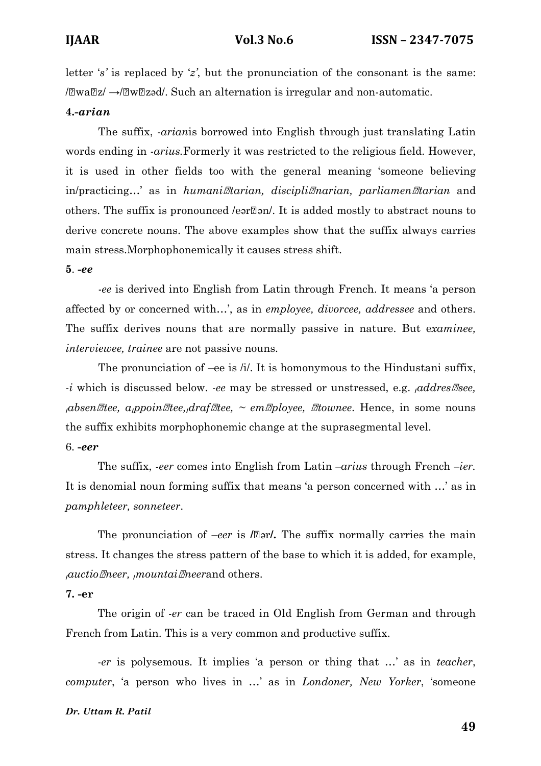letter 's' is replaced by 'z', but the pronunciation of the consonant is the same: / wa  $z/\rightarrow$ / w zəd/. Such an alternation is irregular and non-automatic.

### 4.-arian

 The suffix, -arianis borrowed into English through just translating Latin words ending in -arius.Formerly it was restricted to the religious field. However, it is used in other fields too with the general meaning 'someone believing in/practicing...' as in humani tarian, discipli narian, parliamentarian and others. The suffix is pronounced /eərən/. It is added mostly to abstract nouns to derive concrete nouns. The above examples show that the suffix always carries main stress.Morphophonemically it causes stress shift.

### 5. -ee

 -ee is derived into English from Latin through French. It means 'a person affected by or concerned with…', as in employee, divorcee, addressee and others. The suffix derives nouns that are normally passive in nature. But examinee, interviewee, trainee are not passive nouns.

The pronunciation of –ee is /i/. It is homonymous to the Hindustani suffix,  $-i$  which is discussed below.  $-ee$  may be stressed or unstressed, e.g. *addres see*, absen tee, appoint ee, draftee,  $\sim$  employee, townee. Hence, in some nouns the suffix exhibits morphophonemic change at the suprasegmental level. 6. -eer

The suffix, *-eer* comes into English from Latin *-arius* through French *-ier*. It is denomial noun forming suffix that means 'a person concerned with …' as in pamphleteer, sonneteer.

The pronunciation of –eer is  $\ell$  -or  $\ell$ . The suffix normally carries the main stress. It changes the stress pattern of the base to which it is added, for example,  $a$ uctioneer, mountaineerand others.

### 7. -er

 The origin of -er can be traced in Old English from German and through French from Latin. This is a very common and productive suffix.

 -er is polysemous. It implies 'a person or thing that …' as in teacher, computer, 'a person who lives in …' as in Londoner, New Yorker, 'someone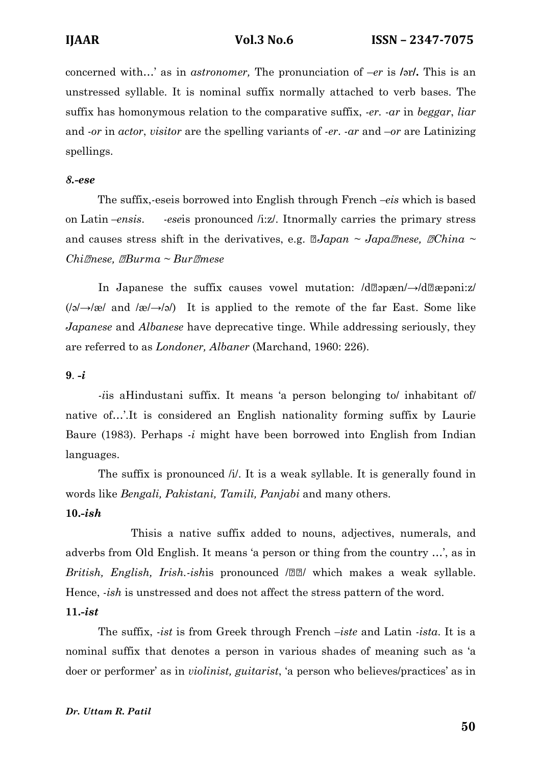concerned with...' as in *astronomer*, The pronunciation of –*er* is /*ər*/. This is an unstressed syllable. It is nominal suffix normally attached to verb bases. The suffix has homonymous relation to the comparative suffix,  $-er$ .  $-ar$  in beggar, liar and -or in actor, visitor are the spelling variants of -er. -ar and –or are Latinizing spellings.

### 8.-ese

 The suffix,-eseis borrowed into English through French –eis which is based on Latin –ensis. -eseis pronounced /i:z/. Itnormally carries the primary stress and causes stress shift in the derivatives, e.g.  $Japan \sim Japan$  nese, China ~ Chinese, Burma ~ Burmese

In Japanese the suffix causes vowel mutation: /d  $\epsilon$ pæn/ $\rightarrow$ /d æp $\epsilon$ ni:z/  $(|\phi| \rightarrow |\phi|)$  and  $|\phi| \rightarrow |\phi|$  It is applied to the remote of the far East. Some like Japanese and Albanese have deprecative tinge. While addressing seriously, they are referred to as Londoner, Albaner (Marchand, 1960: 226).

### $9. -i$

-iis aHindustani suffix. It means 'a person belonging to/ inhabitant of/ native of…'.It is considered an English nationality forming suffix by Laurie Baure (1983). Perhaps -i might have been borrowed into English from Indian languages.

 The suffix is pronounced /i/. It is a weak syllable. It is generally found in words like Bengali, Pakistani, Tamili, Panjabi and many others. 10.-ish

 Thisis a native suffix added to nouns, adjectives, numerals, and adverbs from Old English. It means 'a person or thing from the country …', as in British, English, Irish.-ishis pronounced / / which makes a weak syllable. Hence,  $-ish$  is unstressed and does not affect the stress pattern of the word. 11.-ist

The suffix, *-ist* is from Greek through French *-iste* and Latin *-ista*. It is a nominal suffix that denotes a person in various shades of meaning such as 'a doer or performer' as in violinist, guitarist, 'a person who believes/practices' as in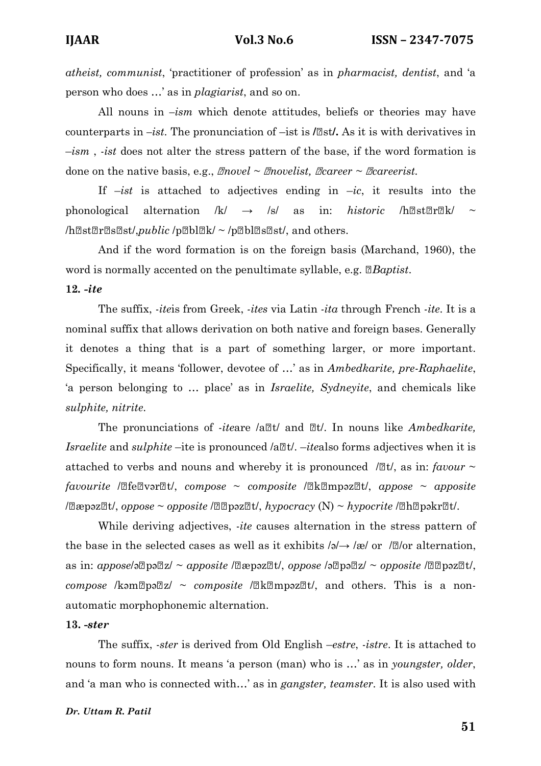atheist, communist, 'practitioner of profession' as in pharmacist, dentist, and 'a person who does …' as in plagiarist, and so on.

All nouns in  $-ism$  which denote attitudes, beliefs or theories may have counterparts in  $-ist$ . The pronunciation of  $-ist$  is l st. As it is with derivatives in  $-i$ sm,  $-$ *ist* does not alter the stress pattern of the base, if the word formation is done on the native basis, e.g., novel  $\sim$  novelist, career  $\sim$  careerist.

If  $-ist$  is attached to adjectives ending in  $-ic$ , it results into the phonological alternation  $/k$   $\rightarrow$  /s/ as in: *historic* /h st r k/ ~ /h st r s st/, public /p bl k/  $\sim$  /p bl s st/, and others.

 And if the word formation is on the foreign basis (Marchand, 1960), the word is normally accented on the penultimate syllable, e.g. *Baptist*.

### 12. -ite

The suffix, *-iteis* from Greek, *-ites* via Latin *-ita* through French *-ite*. It is a nominal suffix that allows derivation on both native and foreign bases. Generally it denotes a thing that is a part of something larger, or more important. Specifically, it means 'follower, devotee of …' as in Ambedkarite, pre-Raphaelite, 'a person belonging to … place' as in Israelite, Sydneyite, and chemicals like sulphite, nitrite.

The pronunciations of  $-ite$ are /a t/ and t/. In nouns like *Ambedkarite*, Israelite and sulphite –ite is pronounced /a  $t$ . –itealso forms adjectives when it is attached to verbs and nouns and whereby it is pronounced  $/$  t/, as in: favour  $\sim$ favourite / fe var t/, compose ~ composite / k mpaz t/, appose ~ apposite / æpəz t/, oppose ~ opposite / pəz t/, hypocracy  $(N)$  ~ hypocrite / h pəkr t/.

While deriving adjectives, *-ite* causes alternation in the stress pattern of the base in the selected cases as well as it exhibits  $\lambda \rightarrow \alpha$  or //or alternation, as in: appose/ $\phi$  pə $z' \sim$  apposite / æpəz t/, oppose /ə pə $z' \sim$  opposite / pəz t/, compose /kəm pə  $z/ \sim$  composite / k mpəz t/, and others. This is a nonautomatic morphophonemic alternation.

### 13. -ster

 The suffix, -ster is derived from Old English –estre, -istre. It is attached to nouns to form nouns. It means 'a person (man) who is ...' as in *youngster*, *older*, and 'a man who is connected with…' as in gangster, teamster. It is also used with

### Dr. Uttam R. Patil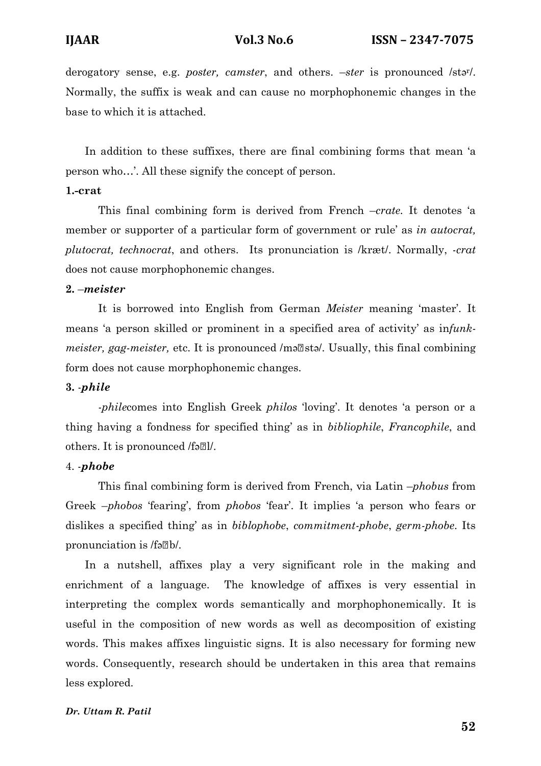derogatory sense, e.g. *poster, camster*, and others. -*ster* is pronounced /star/. Normally, the suffix is weak and can cause no morphophonemic changes in the base to which it is attached.

In addition to these suffixes, there are final combining forms that mean 'a person who…'. All these signify the concept of person.

### 1.-crat

This final combining form is derived from French –crate. It denotes 'a member or supporter of a particular form of government or rule' as in autocrat, plutocrat, technocrat, and others. Its pronunciation is /kræt/. Normally, -crat does not cause morphophonemic changes.

### 2. –meister

It is borrowed into English from German Meister meaning 'master'. It means 'a person skilled or prominent in a specified area of activity' as infunkmeister, gag-meister, etc. It is pronounced /mə stə/. Usually, this final combining form does not cause morphophonemic changes.

### 3. -phile

-philecomes into English Greek philos 'loving'. It denotes 'a person or a thing having a fondness for specified thing' as in bibliophile, Francophile, and others. It is pronounced /fəl/.

### 4. -phobe

This final combining form is derived from French, via Latin –phobus from Greek –phobos 'fearing', from phobos 'fear'. It implies 'a person who fears or dislikes a specified thing as in *biblophobe, commitment-phobe, germ-phobe*. Its pronunciation is /fa b/.

In a nutshell, affixes play a very significant role in the making and enrichment of a language. The knowledge of affixes is very essential in interpreting the complex words semantically and morphophonemically. It is useful in the composition of new words as well as decomposition of existing words. This makes affixes linguistic signs. It is also necessary for forming new words. Consequently, research should be undertaken in this area that remains less explored.

### Dr. Uttam R. Patil